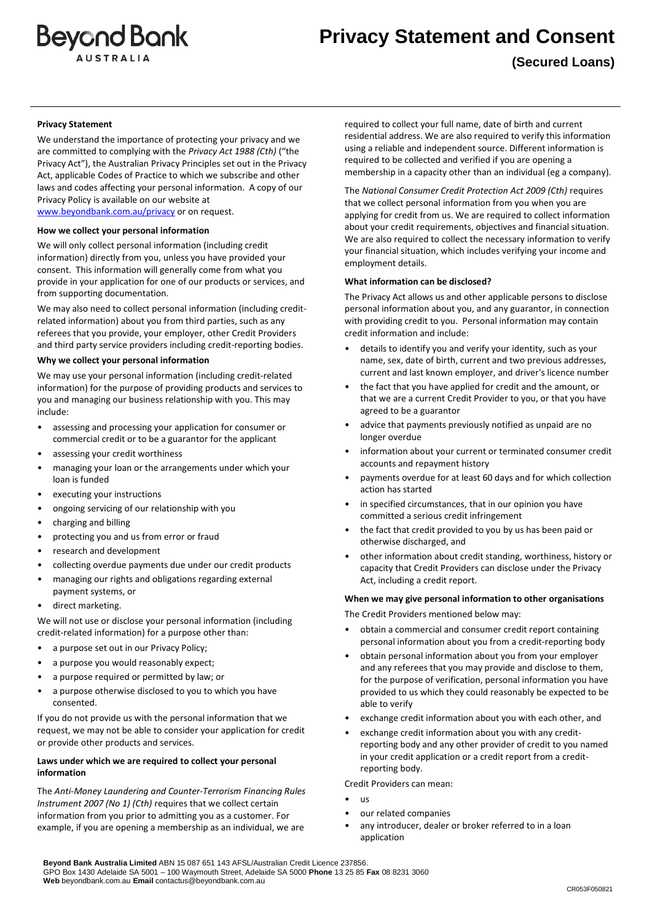

**(Secured Loans)**

### **Privacy Statement**

We understand the importance of protecting your privacy and we are committed to complying with the *Privacy Act 1988 (Cth)* ("the Privacy Act"), the Australian Privacy Principles set out in the Privacy Act, applicable Codes of Practice to which we subscribe and other laws and codes affecting your personal information. A copy of our Privacy Policy is available on our website at [www.beyondbank.com.au/privacy](http://www.beyondbank.com.au/privacy) or on request.

# **How we collect your personal information**

We will only collect personal information (including credit information) directly from you, unless you have provided your consent. This information will generally come from what you provide in your application for one of our products or services, and from supporting documentation.

We may also need to collect personal information (including creditrelated information) about you from third parties, such as any referees that you provide, your employer, other Credit Providers and third party service providers including credit-reporting bodies.

#### **Why we collect your personal information**

We may use your personal information (including credit-related information) for the purpose of providing products and services to you and managing our business relationship with you. This may include:

- assessing and processing your application for consumer or commercial credit or to be a guarantor for the applicant
- assessing your credit worthiness
- managing your loan or the arrangements under which your loan is funded
- executing your instructions
- ongoing servicing of our relationship with you
- charging and billing
- protecting you and us from error or fraud
- research and development
- collecting overdue payments due under our credit products
- managing our rights and obligations regarding external payment systems, or
- direct marketing.

We will not use or disclose your personal information (including credit-related information) for a purpose other than:

- a purpose set out in our Privacy Policy;
- a purpose you would reasonably expect;
- a purpose required or permitted by law; or
- a purpose otherwise disclosed to you to which you have consented.

If you do not provide us with the personal information that we request, we may not be able to consider your application for credit or provide other products and services.

# **Laws under which we are required to collect your personal information**

The *Anti-Money Laundering and Counter-Terrorism Financing Rules Instrument 2007 (No 1) (Cth)* requires that we collect certain information from you prior to admitting you as a customer. For example, if you are opening a membership as an individual, we are required to collect your full name, date of birth and current residential address. We are also required to verify this information using a reliable and independent source. Different information is required to be collected and verified if you are opening a membership in a capacity other than an individual (eg a company).

The *National Consumer Credit Protection Act 2009 (Cth)* requires that we collect personal information from you when you are applying for credit from us. We are required to collect information about your credit requirements, objectives and financial situation. We are also required to collect the necessary information to verify your financial situation, which includes verifying your income and employment details.

#### **What information can be disclosed?**

The Privacy Act allows us and other applicable persons to disclose personal information about you, and any guarantor, in connection with providing credit to you. Personal information may contain credit information and include:

- details to identify you and verify your identity, such as your name, sex, date of birth, current and two previous addresses, current and last known employer, and driver's licence number
- the fact that you have applied for credit and the amount, or that we are a current Credit Provider to you, or that you have agreed to be a guarantor
- advice that payments previously notified as unpaid are no longer overdue
- information about your current or terminated consumer credit accounts and repayment history
- payments overdue for at least 60 days and for which collection action has started
- in specified circumstances, that in our opinion you have committed a serious credit infringement
- the fact that credit provided to you by us has been paid or otherwise discharged, and
- other information about credit standing, worthiness, history or capacity that Credit Providers can disclose under the Privacy Act, including a credit report.

#### **When we may give personal information to other organisations**

The Credit Providers mentioned below may:

- obtain a commercial and consumer credit report containing personal information about you from a credit-reporting body
- obtain personal information about you from your employer and any referees that you may provide and disclose to them, for the purpose of verification, personal information you have provided to us which they could reasonably be expected to be able to verify
- exchange credit information about you with each other, and
- exchange credit information about you with any creditreporting body and any other provider of credit to you named in your credit application or a credit report from a creditreporting body.

Credit Providers can mean:

- us
- our related companies
- any introducer, dealer or broker referred to in a loan application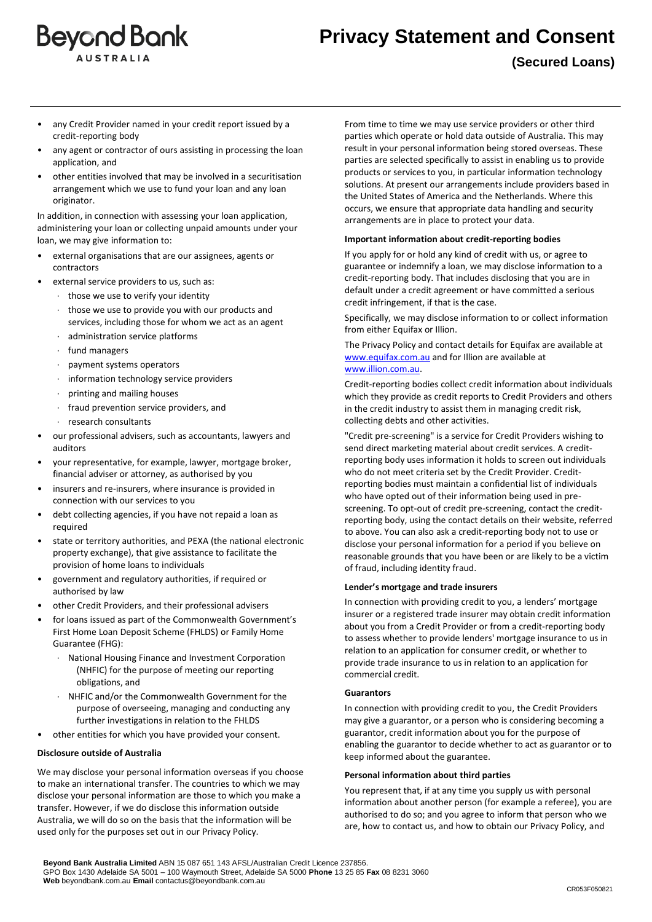

**(Secured Loans)**

- any Credit Provider named in your credit report issued by a credit-reporting body
- any agent or contractor of ours assisting in processing the loan application, and
- other entities involved that may be involved in a securitisation arrangement which we use to fund your loan and any loan originator.

In addition, in connection with assessing your loan application, administering your loan or collecting unpaid amounts under your loan, we may give information to:

- external organisations that are our assignees, agents or contractors
- external service providers to us, such as:
	- · those we use to verify your identity
	- · those we use to provide you with our products and services, including those for whom we act as an agent
	- administration service platforms
	- fund managers
	- · payment systems operators
	- information technology service providers
	- · printing and mailing houses
	- · fraud prevention service providers, and
	- · research consultants
- our professional advisers, such as accountants, lawyers and auditors
- your representative, for example, lawyer, mortgage broker, financial adviser or attorney, as authorised by you
- insurers and re-insurers, where insurance is provided in connection with our services to you
- debt collecting agencies, if you have not repaid a loan as required
- state or territory authorities, and PEXA (the national electronic property exchange), that give assistance to facilitate the provision of home loans to individuals
- government and regulatory authorities, if required or authorised by law
- other Credit Providers, and their professional advisers
- for loans issued as part of the Commonwealth Government's First Home Loan Deposit Scheme (FHLDS) or Family Home Guarantee (FHG):
	- · National Housing Finance and Investment Corporation (NHFIC) for the purpose of meeting our reporting obligations, and
	- · NHFIC and/or the Commonwealth Government for the purpose of overseeing, managing and conducting any further investigations in relation to the FHLDS
- other entities for which you have provided your consent.

#### **Disclosure outside of Australia**

We may disclose your personal information overseas if you choose to make an international transfer. The countries to which we may disclose your personal information are those to which you make a transfer. However, if we do disclose this information outside Australia, we will do so on the basis that the information will be used only for the purposes set out in our Privacy Policy.

From time to time we may use service providers or other third parties which operate or hold data outside of Australia. This may result in your personal information being stored overseas. These parties are selected specifically to assist in enabling us to provide products or services to you, in particular information technology solutions. At present our arrangements include providers based in the United States of America and the Netherlands. Where this occurs, we ensure that appropriate data handling and security arrangements are in place to protect your data.

#### **Important information about credit-reporting bodies**

If you apply for or hold any kind of credit with us, or agree to guarantee or indemnify a loan, we may disclose information to a credit-reporting body. That includes disclosing that you are in default under a credit agreement or have committed a serious credit infringement, if that is the case.

Specifically, we may disclose information to or collect information from either Equifax or Illion.

The Privacy Policy and contact details for Equifax are available at [www.equifax.com.au](http://www.equifax.com.au/) and for Illion are available at [www.illion.com.au.](http://www.illion.com.au/)

Credit-reporting bodies collect credit information about individuals which they provide as credit reports to Credit Providers and others in the credit industry to assist them in managing credit risk, collecting debts and other activities.

"Credit pre-screening" is a service for Credit Providers wishing to send direct marketing material about credit services. A creditreporting body uses information it holds to screen out individuals who do not meet criteria set by the Credit Provider. Creditreporting bodies must maintain a confidential list of individuals who have opted out of their information being used in prescreening. To opt-out of credit pre-screening, contact the creditreporting body, using the contact details on their website, referred to above. You can also ask a credit-reporting body not to use or disclose your personal information for a period if you believe on reasonable grounds that you have been or are likely to be a victim of fraud, including identity fraud.

#### **Lender's mortgage and trade insurers**

In connection with providing credit to you, a lenders' mortgage insurer or a registered trade insurer may obtain credit information about you from a Credit Provider or from a credit-reporting body to assess whether to provide lenders' mortgage insurance to us in relation to an application for consumer credit, or whether to provide trade insurance to us in relation to an application for commercial credit.

#### **Guarantors**

In connection with providing credit to you, the Credit Providers may give a guarantor, or a person who is considering becoming a guarantor, credit information about you for the purpose of enabling the guarantor to decide whether to act as guarantor or to keep informed about the guarantee.

#### **Personal information about third parties**

You represent that, if at any time you supply us with personal information about another person (for example a referee), you are authorised to do so; and you agree to inform that person who we are, how to contact us, and how to obtain our Privacy Policy, and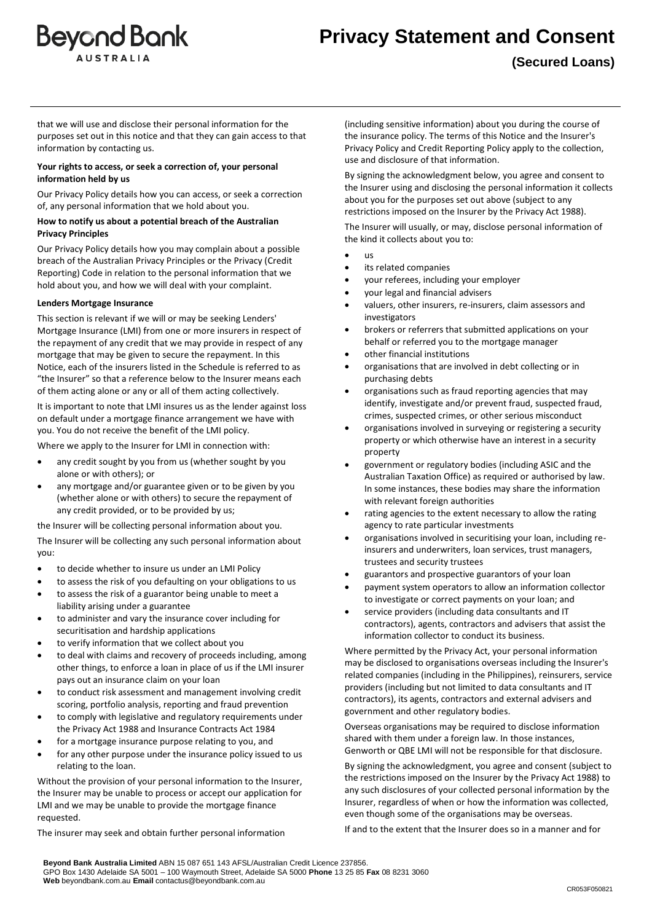

that we will use and disclose their personal information for the purposes set out in this notice and that they can gain access to that information by contacting us.

# **Your rights to access, or seek a correction of, your personal information held by us**

Our Privacy Policy details how you can access, or seek a correction of, any personal information that we hold about you.

# **How to notify us about a potential breach of the Australian Privacy Principles**

Our Privacy Policy details how you may complain about a possible breach of the Australian Privacy Principles or the Privacy (Credit Reporting) Code in relation to the personal information that we hold about you, and how we will deal with your complaint.

# **Lenders Mortgage Insurance**

This section is relevant if we will or may be seeking Lenders' Mortgage Insurance (LMI) from one or more insurers in respect of the repayment of any credit that we may provide in respect of any mortgage that may be given to secure the repayment. In this Notice, each of the insurers listed in the Schedule is referred to as "the Insurer" so that a reference below to the Insurer means each of them acting alone or any or all of them acting collectively.

It is important to note that LMI insures us as the lender against loss on default under a mortgage finance arrangement we have with you. You do not receive the benefit of the LMI policy.

Where we apply to the Insurer for LMI in connection with:

- any credit sought by you from us (whether sought by you alone or with others); or
- any mortgage and/or guarantee given or to be given by you (whether alone or with others) to secure the repayment of any credit provided, or to be provided by us;

the Insurer will be collecting personal information about you. The Insurer will be collecting any such personal information about you:

- to decide whether to insure us under an LMI Policy
- to assess the risk of you defaulting on your obligations to us
- to assess the risk of a guarantor being unable to meet a liability arising under a guarantee
- to administer and vary the insurance cover including for securitisation and hardship applications
- to verify information that we collect about you
- to deal with claims and recovery of proceeds including, among other things, to enforce a loan in place of us if the LMI insurer pays out an insurance claim on your loan
- to conduct risk assessment and management involving credit scoring, portfolio analysis, reporting and fraud prevention
- to comply with legislative and regulatory requirements under the Privacy Act 1988 and Insurance Contracts Act 1984
- for a mortgage insurance purpose relating to you, and
- for any other purpose under the insurance policy issued to us relating to the loan.

Without the provision of your personal information to the Insurer, the Insurer may be unable to process or accept our application for LMI and we may be unable to provide the mortgage finance requested.

The insurer may seek and obtain further personal information

(including sensitive information) about you during the course of the insurance policy. The terms of this Notice and the Insurer's Privacy Policy and Credit Reporting Policy apply to the collection, use and disclosure of that information.

By signing the acknowledgment below, you agree and consent to the Insurer using and disclosing the personal information it collects about you for the purposes set out above (subject to any restrictions imposed on the Insurer by the Privacy Act 1988).

The Insurer will usually, or may, disclose personal information of the kind it collects about you to:

- us
- its related companies
- your referees, including your employer
- your legal and financial advisers
- valuers, other insurers, re-insurers, claim assessors and investigators
- brokers or referrers that submitted applications on your behalf or referred you to the mortgage manager
- other financial institutions
- organisations that are involved in debt collecting or in purchasing debts
- organisations such as fraud reporting agencies that may identify, investigate and/or prevent fraud, suspected fraud, crimes, suspected crimes, or other serious misconduct
- organisations involved in surveying or registering a security property or which otherwise have an interest in a security property
- government or regulatory bodies (including ASIC and the Australian Taxation Office) as required or authorised by law. In some instances, these bodies may share the information with relevant foreign authorities
- rating agencies to the extent necessary to allow the rating agency to rate particular investments
- organisations involved in securitising your loan, including reinsurers and underwriters, loan services, trust managers, trustees and security trustees
- guarantors and prospective guarantors of your loan
- payment system operators to allow an information collector to investigate or correct payments on your loan; and
- service providers (including data consultants and IT contractors), agents, contractors and advisers that assist the information collector to conduct its business.

Where permitted by the Privacy Act, your personal information may be disclosed to organisations overseas including the Insurer's related companies (including in the Philippines), reinsurers, service providers (including but not limited to data consultants and IT contractors), its agents, contractors and external advisers and government and other regulatory bodies.

Overseas organisations may be required to disclose information shared with them under a foreign law. In those instances, Genworth or QBE LMI will not be responsible for that disclosure.

By signing the acknowledgment, you agree and consent (subject to the restrictions imposed on the Insurer by the Privacy Act 1988) to any such disclosures of your collected personal information by the Insurer, regardless of when or how the information was collected, even though some of the organisations may be overseas.

If and to the extent that the Insurer does so in a manner and for